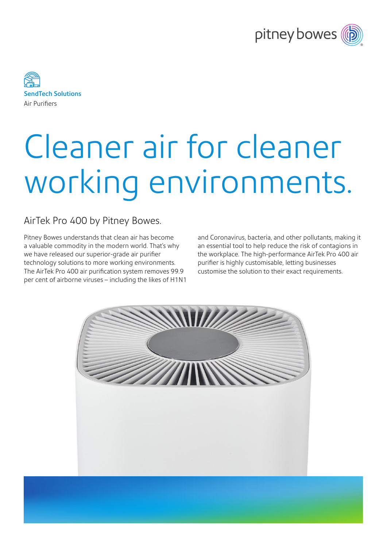



## Cleaner air for cleaner working environments.

## AirTek Pro 400 by Pitney Bowes.

Pitney Bowes understands that clean air has become a valuable commodity in the modern world. That's why we have released our superior-grade air purifier technology solutions to more working environments. The AirTek Pro 400 air purification system removes 99.9 per cent of airborne viruses – including the likes of H1N1 and Coronavirus, bacteria, and other pollutants, making it an essential tool to help reduce the risk of contagions in the workplace. The high-performance AirTek Pro 400 air purifier is highly customisable, letting businesses customise the solution to their exact requirements.